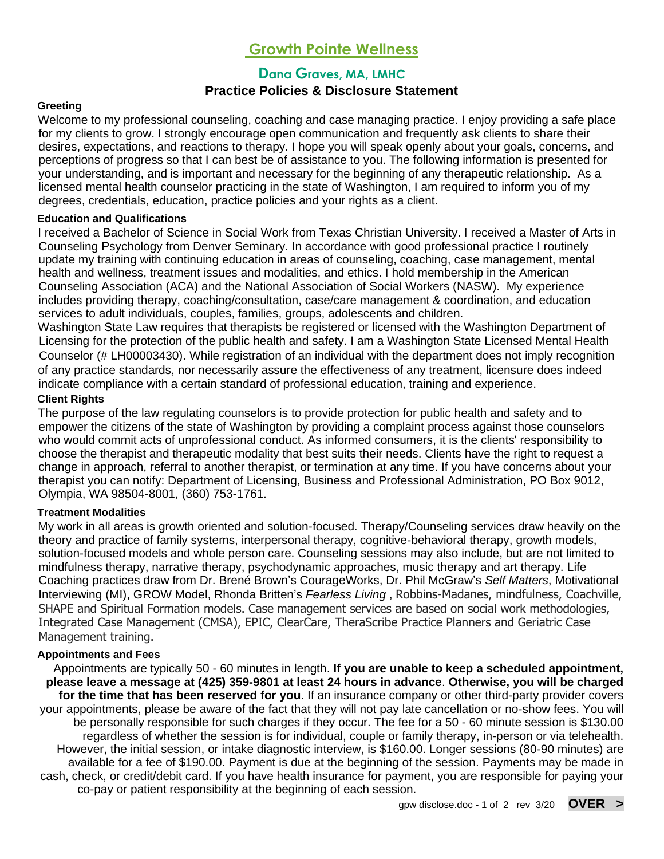# **Growth Pointe Wellness**

# **Dana Graves, MA, LMHC**

## **Practice Policies & Disclosure Statement**

## **Greeting**

Welcome to my professional counseling, coaching and case managing practice. I enjoy providing a safe place for my clients to grow. I strongly encourage open communication and frequently ask clients to share their desires, expectations, and reactions to therapy. I hope you will speak openly about your goals, concerns, and perceptions of progress so that I can best be of assistance to you. The following information is presented for your understanding, and is important and necessary for the beginning of any therapeutic relationship. As a licensed mental health counselor practicing in the state of Washington, I am required to inform you of my degrees, credentials, education, practice policies and your rights as a client.

#### **Education and Qualifications**

I received a Bachelor of Science in Social Work from Texas Christian University. I received a Master of Arts in Counseling Psychology from Denver Seminary. In accordance with good professional practice I routinely update my training with continuing education in areas of counseling, coaching, case management, mental health and wellness, treatment issues and modalities, and ethics. I hold membership in the American Counseling Association (ACA) and the National Association of Social Workers (NASW). My experience includes providing therapy, coaching/consultation, case/care management & coordination, and education services to adult individuals, couples, families, groups, adolescents and children.

Washington State Law requires that therapists be registered or licensed with the Washington Department of Licensing for the protection of the public health and safety. I am a Washington State Licensed Mental Health Counselor (# LH00003430). While registration of an individual with the department does not imply recognition of any practice standards, nor necessarily assure the effectiveness of any treatment, licensure does indeed indicate compliance with a certain standard of professional education, training and experience.

## **Client Rights**

The purpose of the law regulating counselors is to provide protection for public health and safety and to empower the citizens of the state of Washington by providing a complaint process against those counselors who would commit acts of unprofessional conduct. As informed consumers, it is the clients' responsibility to choose the therapist and therapeutic modality that best suits their needs. Clients have the right to request a change in approach, referral to another therapist, or termination at any time. If you have concerns about your therapist you can notify: Department of Licensing, Business and Professional Administration, PO Box 9012, Olympia, WA 98504-8001, (360) 753-1761.

## **Treatment Modalities**

My work in all areas is growth oriented and solution-focused. Therapy/Counseling services draw heavily on the theory and practice of family systems, interpersonal therapy, cognitive-behavioral therapy, growth models, solution-focused models and whole person care. Counseling sessions may also include, but are not limited to mindfulness therapy, narrative therapy, psychodynamic approaches, music therapy and art therapy. Life Coaching practices draw from Dr. Brené Brown's CourageWorks, Dr. Phil McGraw's *Self Matters*, Motivational Interviewing (MI), GROW Model, Rhonda Britten's *Fearless Living* , Robbins-Madanes, mindfulness, Coachville, SHAPE and Spiritual Formation models. Case management services are based on social work methodologies, Integrated Case Management (CMSA), EPIC, ClearCare, TheraScribe Practice Planners and Geriatric Case Management training.

## **Appointments and Fees**

Appointments are typically 50 - 60 minutes in length. **If you are unable to keep a scheduled appointment, please leave a message at (425) 359-9801 at least 24 hours in advance**. **Otherwise, you will be charged for the time that has been reserved for you**. If an insurance company or other third-party provider covers your appointments, please be aware of the fact that they will not pay late cancellation or no-show fees. You will be personally responsible for such charges if they occur. The fee for a 50 - 60 minute session is \$130.00 regardless of whether the session is for individual, couple or family therapy, in-person or via telehealth. However, the initial session, or intake diagnostic interview, is \$160.00. Longer sessions (80-90 minutes) are available for a fee of \$190.00. Payment is due at the beginning of the session. Payments may be made in cash, check, or credit/debit card. If you have health insurance for payment, you are responsible for paying your co-pay or patient responsibility at the beginning of each session.